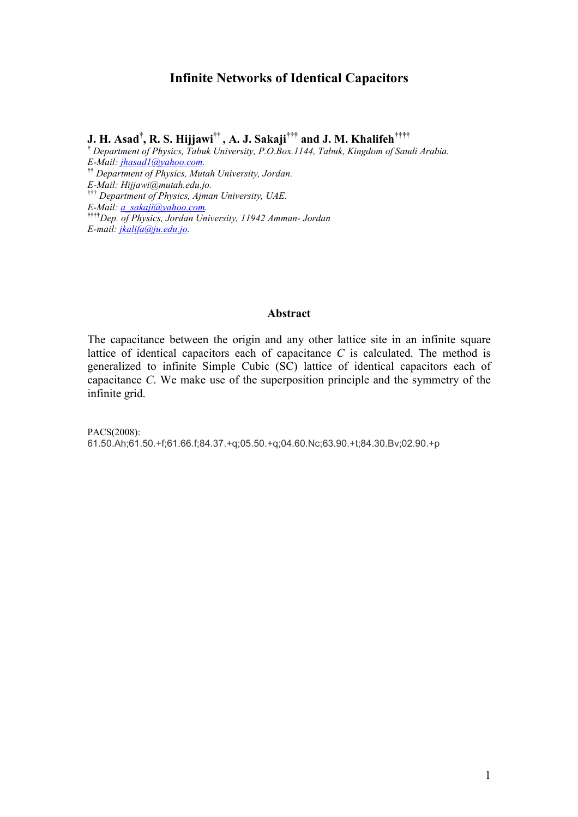#### **Infinite Networks of Identical Capacitors**

**J. H. Asad† , R. S. Hijjawi†† , A. J. Sakaji††† and J. M. Khalifeh††††**

**†**  *Department of Physics, Tabuk University, P.O.Box.1144, Tabuk, Kingdom of Saudi Arabia. E-Mail: [jhasad1@yahoo.com.](mailto:jhasad1@yahoo.com)*  **††** *Department of Physics, Mutah University, Jordan. E-Mail: Hijjawi@mutah.edu.jo.*  **†††** *Department of Physics, Ajman University, UAE. E-Mail: [a\\_sakaji@yahoo.com.](mailto:a_sakaji@yahoo.com)*  **††††***Dep. of Physics, Jordan University, 11942 Amman- Jordan E-mail: [jkalifa@ju.edu.jo](mailto:jkalifa@ju.edu.jo).* 

#### **Abstract**

The capacitance between the origin and any other lattice site in an infinite square lattice of identical capacitors each of capacitance *C* is calculated. The method is generalized to infinite Simple Cubic (SC) lattice of identical capacitors each of capacitance *C*. We make use of the superposition principle and the symmetry of the infinite grid.

PACS(2008): 61.50.Ah;61.50.+f;61.66.f;84.37.+q;05.50.+q;04.60.Nc;63.90.+t;84.30.Bv;02.90.+p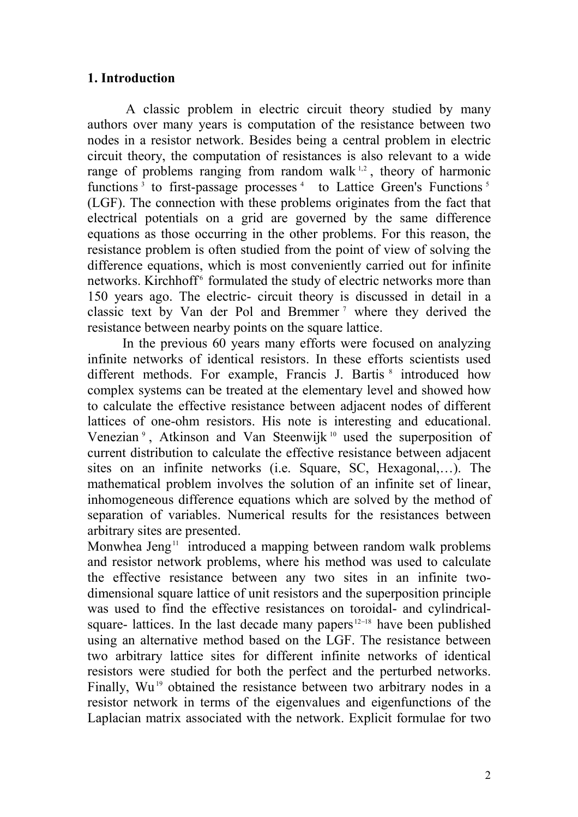## **1. Introduction**

A classic problem in electric circuit theory studied by many authors over many years is computation of the resistance between two nodes in a resistor network. Besides being a central problem in electric circuit theory, the computation of resistances is also relevant to a wide range of problems ranging from random walk  $^{1,2}$ , theory of harmonic functions<sup>3</sup> to first-passage processes<sup>4</sup> to Lattice Green's Functions<sup>5</sup> (LGF). The connection with these problems originates from the fact that electrical potentials on a grid are governed by the same difference equations as those occurring in the other problems. For this reason, the resistance problem is often studied from the point of view of solving the difference equations, which is most conveniently carried out for infinite networks. Kirchhoff<sup>6</sup> formulated the study of electric networks more than 150 years ago. The electric- circuit theory is discussed in detail in a classic text by Van der Pol and Bremmer<sup>7</sup> where they derived the resistance between nearby points on the square lattice.

In the previous 60 years many efforts were focused on analyzing infinite networks of identical resistors. In these efforts scientists used different methods. For example, Francis J. Bartis <sup>8</sup> introduced how complex systems can be treated at the elementary level and showed how to calculate the effective resistance between adjacent nodes of different lattices of one-ohm resistors. His note is interesting and educational. Venezian<sup>9</sup>, Atkinson and Van Steenwijk<sup>10</sup> used the superposition of current distribution to calculate the effective resistance between adjacent sites on an infinite networks (i.e. Square, SC, Hexagonal,…). The mathematical problem involves the solution of an infinite set of linear, inhomogeneous difference equations which are solved by the method of separation of variables. Numerical results for the resistances between arbitrary sites are presented.

Monwhea Jeng<sup>11</sup> introduced a mapping between random walk problems and resistor network problems, where his method was used to calculate the effective resistance between any two sites in an infinite twodimensional square lattice of unit resistors and the superposition principle was used to find the effective resistances on toroidal- and cylindricalsquare- lattices. In the last decade many papers<sup>12−18</sup> have been published using an alternative method based on the LGF. The resistance between two arbitrary lattice sites for different infinite networks of identical resistors were studied for both the perfect and the perturbed networks. Finally, Wu<sup>19</sup> obtained the resistance between two arbitrary nodes in a resistor network in terms of the eigenvalues and eigenfunctions of the Laplacian matrix associated with the network. Explicit formulae for two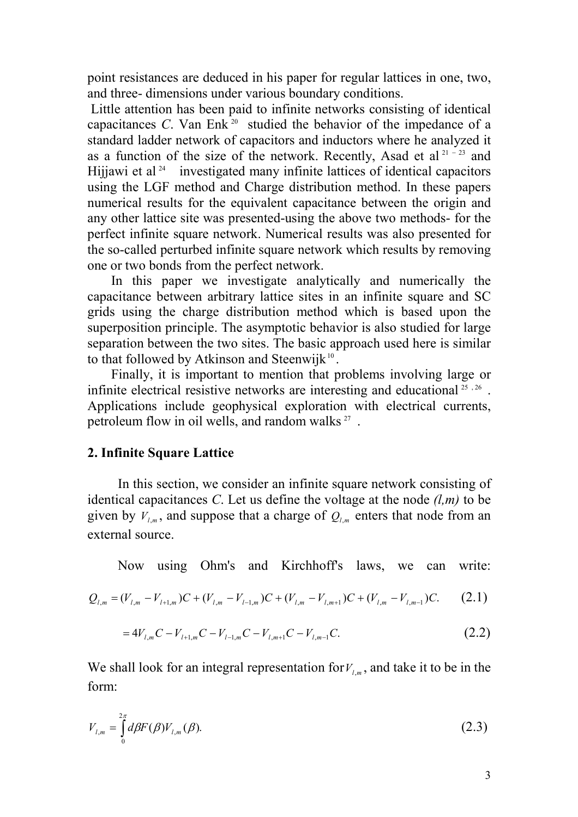point resistances are deduced in his paper for regular lattices in one, two, and three- dimensions under various boundary conditions.

 Little attention has been paid to infinite networks consisting of identical capacitances *C*. Van Enk<sup>20</sup> studied the behavior of the impedance of a standard ladder network of capacitors and inductors where he analyzed it as a function of the size of the network. Recently, Asad et al<sup>21-23</sup> and Hijjawi et al  $24$  investigated many infinite lattices of identical capacitors using the LGF method and Charge distribution method. In these papers numerical results for the equivalent capacitance between the origin and any other lattice site was presented-using the above two methods- for the perfect infinite square network. Numerical results was also presented for the so-called perturbed infinite square network which results by removing one or two bonds from the perfect network.

 In this paper we investigate analytically and numerically the capacitance between arbitrary lattice sites in an infinite square and SC grids using the charge distribution method which is based upon the superposition principle. The asymptotic behavior is also studied for large separation between the two sites. The basic approach used here is similar to that followed by Atkinson and Steenwijk $10^{\circ}$ .

 Finally, it is important to mention that problems involving large or infinite electrical resistive networks are interesting and educational  $25, 26$ . Applications include geophysical exploration with electrical currents, petroleum flow in oil wells, and random walks  $27$ .

#### **2. Infinite Square Lattice**

 In this section, we consider an infinite square network consisting of identical capacitances *C*. Let us define the voltage at the node  $(l,m)$  to be given by  $V_{l,m}$ , and suppose that a charge of  $Q_{l,m}$  enters that node from an external source.

Now using Ohm's and Kirchhoff's laws, we can write:

$$
Q_{l,m} = (V_{l,m} - V_{l+1,m})C + (V_{l,m} - V_{l-1,m})C + (V_{l,m} - V_{l,m+1})C + (V_{l,m} - V_{l,m-1})C.
$$
 (2.1)

$$
=4V_{l,m}C-V_{l+1,m}C-V_{l-1,m}C-V_{l,m+1}C-V_{l,m-1}C.
$$
\n(2.2)

We shall look for an integral representation for  $V_{l,m}$ , and take it to be in the form:

$$
V_{l,m} = \int_{0}^{2\pi} d\beta F(\beta) V_{l,m}(\beta).
$$
 (2.3)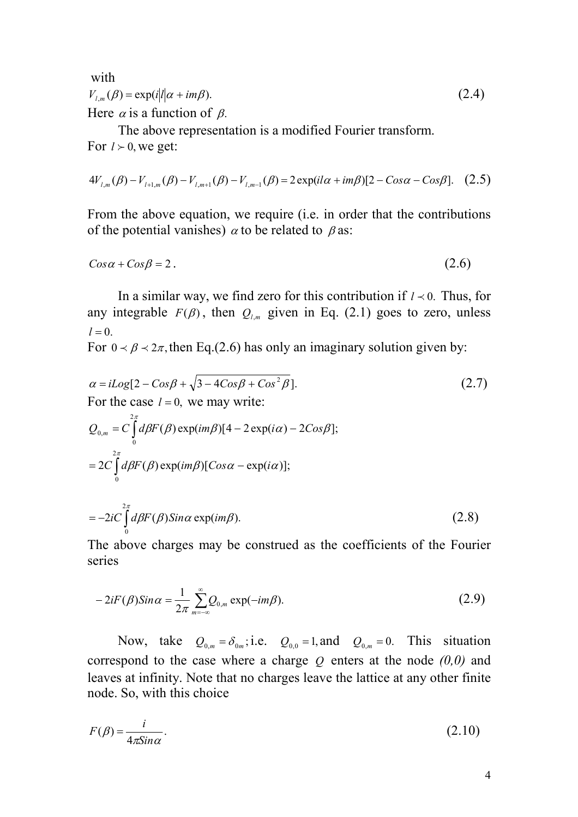with  $V_{l,m}(\beta) = \exp(i|l|\alpha + im\beta).$  (2.4) Here  $\alpha$  is a function of  $\beta$ .

 The above representation is a modified Fourier transform. For  $l > 0$ , we get:

$$
4V_{l,m}(\beta) - V_{l+1,m}(\beta) - V_{l,m+1}(\beta) - V_{l,m-1}(\beta) = 2\exp(i l \alpha + i m \beta)[2 - \cos \alpha - \cos \beta].
$$
 (2.5)

From the above equation, we require (i.e. in order that the contributions of the potential vanishes)  $\alpha$  to be related to  $\beta$  as:

$$
Cos\alpha + Cos\beta = 2. \tag{2.6}
$$

In a similar way, we find zero for this contribution if  $l \lt 0$ . Thus, for any integrable  $F(\beta)$ , then  $Q_{l,m}$  given in Eq. (2.1) goes to zero, unless  $l = 0$ .

For  $0 \lt B \lt 2\pi$ , then Eq.(2.6) has only an imaginary solution given by:

$$
\alpha = iLog[2 - Cos\beta + \sqrt{3 - 4Cos\beta + Cos^{2}\beta}].
$$
\n
$$
\text{For the case } l = 0, \text{ we may write:}
$$
\n
$$
Q_{0,m} = C \int_{0}^{2\pi} d\beta F(\beta) \exp(im\beta) [4 - 2 \exp(i\alpha) - 2Cos\beta];
$$
\n
$$
= 2C \int_{0}^{2\pi} d\beta F(\beta) \exp(im\beta) [Cos\alpha - \exp(i\alpha)];
$$
\n
$$
= -2iC \int_{0}^{2\pi} d\beta F(\beta) Sin\alpha \exp(im\beta).
$$
\n(2.8)

The above charges may be construed as the coefficients of the Fourier series

$$
-2iF(\beta)\sin\alpha = \frac{1}{2\pi} \sum_{m=-\infty}^{\infty} Q_{0,m} \exp(-im\beta).
$$
 (2.9)

Now, take  $Q_{0,m} = \delta_{0m}$ ; i.e.  $Q_{0,0} = 1$ , and  $Q_{0,m} = 0$ . This situation correspond to the case where a charge *Q* enters at the node *(0,0)* and leaves at infinity. Note that no charges leave the lattice at any other finite node. So, with this choice

$$
F(\beta) = \frac{i}{4\pi \sin \alpha}.
$$
\n(2.10)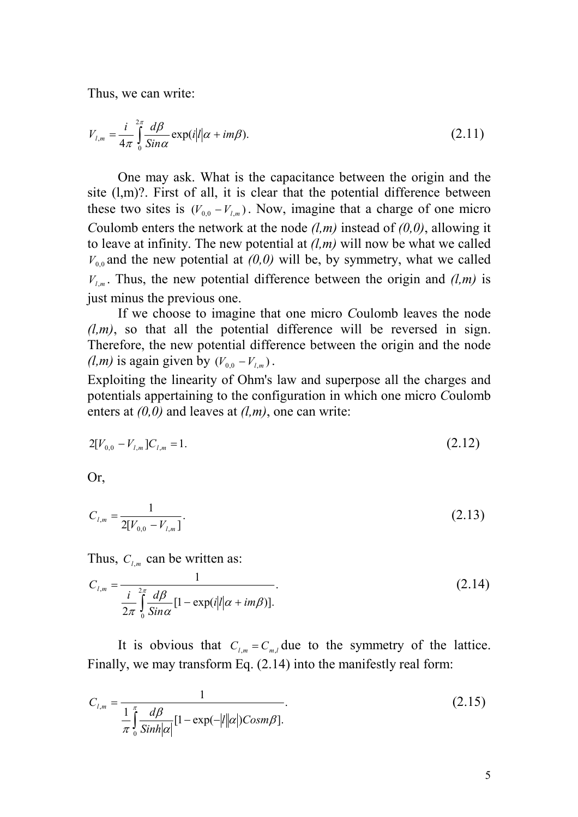Thus, we can write:

$$
V_{l,m} = \frac{i}{4\pi} \int_{0}^{2\pi} \frac{d\beta}{\sin \alpha} \exp(i|l|\alpha + im\beta). \tag{2.11}
$$

 One may ask. What is the capacitance between the origin and the site (l,m)?. First of all, it is clear that the potential difference between these two sites is  $(V_{0,0} - V_{l,m})$ . Now, imagine that a charge of one micro *C*oulomb enters the network at the node *(l,m)* instead of *(0,0)*, allowing it to leave at infinity. The new potential at *(l,m)* will now be what we called  $V_{0,0}$  and the new potential at  $(0,0)$  will be, by symmetry, what we called  $V_{l,m}$ . Thus, the new potential difference between the origin and  $(l,m)$  is just minus the previous one.

 If we choose to imagine that one micro *C*oulomb leaves the node  $(l,m)$ , so that all the potential difference will be reversed in sign. Therefore, the new potential difference between the origin and the node *(l,m)* is again given by  $(V_{0,0} - V_{l,m})$ .

Exploiting the linearity of Ohm's law and superpose all the charges and potentials appertaining to the configuration in which one micro *C*oulomb enters at *(0,0)* and leaves at *(l,m)*, one can write:

$$
2[V_{0,0} - V_{l,m}]C_{l,m} = 1. \tag{2.12}
$$

Or,

$$
C_{l,m} = \frac{1}{2[V_{0,0} - V_{l,m}]}.
$$
\n(2.13)

Thus,  $C_{l,m}$  can be written as:

$$
C_{l,m} = \frac{1}{\frac{i}{2\pi} \int_{0}^{2\pi} \frac{d\beta}{\sin \alpha} [1 - \exp(i|l|\alpha + im\beta)].}
$$
\n(2.14)

It is obvious that  $C_{l,m} = C_{m,l}$  due to the symmetry of the lattice. Finally, we may transform Eq. (2.14) into the manifestly real form:

$$
C_{l,m} = \frac{1}{\frac{1}{\pi} \int_{0}^{\pi} \frac{d\beta}{Sinh|\alpha|} [1 - \exp(-|l||\alpha|) \cos(m\beta)].}
$$
\n(2.15)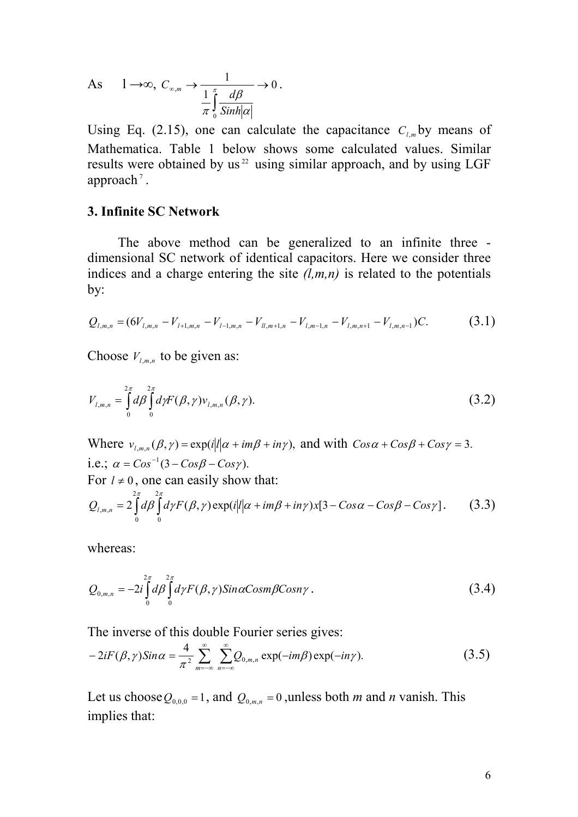As 
$$
1 \to \infty
$$
,  $C_{\infty,m} \to \frac{1}{\frac{1}{\pi} \int_{0}^{\pi} \frac{d\beta}{Sinh|\alpha|}} \to 0$ .

Using Eq. (2.15), one can calculate the capacitance  $C_{l,m}$  by means of Mathematica. Table 1 below shows some calculated values. Similar results were obtained by us<sup>22</sup> using similar approach, and by using LGF approach<sup> $7$ </sup>.

#### **3. Infinite SC Network**

 The above method can be generalized to an infinite three dimensional SC network of identical capacitors. Here we consider three indices and a charge entering the site  $(l,m,n)$  is related to the potentials by:

$$
Q_{l,m,n} = (6V_{l,m,n} - V_{l+1,m,n} - V_{l-1,m,n} - V_{l,m+1,n} - V_{l,m-1,n} - V_{l,m,n+1} - V_{l,m,n-1})C.
$$
 (3.1)

Choose  $V_{l,m,n}$  to be given as:

$$
V_{l,m,n} = \int_{0}^{2\pi} d\beta \int_{0}^{2\pi} d\gamma F(\beta, \gamma) v_{l,m,n}(\beta, \gamma).
$$
 (3.2)

Where  $v_{l,m,n}(\beta, \gamma) = \exp(i|l|\alpha + im\beta + in\gamma)$ , and with  $Cos\alpha + Cos\beta + Cos\gamma = 3$ . i.e.;  $\alpha = Cos^{-1}(3 - Cos\beta - Cos\gamma)$ . For  $l \neq 0$ , one can easily show that:  $2 | d\beta | d\gamma F(\beta, \gamma) \exp(i|l|\alpha + im\beta + in\gamma)x[3 - Cos\alpha - Cos\beta - Cos\gamma]$ 2 0 2 0  $\mathcal{L}_{m,n}$  = 2 |  $d\beta$  |  $d\gamma F(\beta, \gamma) \exp(i|\mathbf{l}|\alpha + im\beta + in\gamma)x[3 - Cos\alpha - Cos\beta - Cos\gamma]$  $Q_{l,m,n} = 2 \int d^{\pi} d\beta \int d\gamma F(\beta, \gamma) \exp(i|\ell|\alpha + im\beta + in\gamma)x[3 - Cos\alpha - Cos\beta - Cos\beta]$  $(3.3)$ 

whereas:

$$
Q_{0,m,n} = -2i \int_{0}^{2\pi} d\beta \int_{0}^{2\pi} d\gamma F(\beta, \gamma) Sin \alpha Cosm \beta Cosn \gamma.
$$
 (3.4)

The inverse of this double Fourier series gives:

$$
-2iF(\beta,\gamma)Sin\alpha=\frac{4}{\pi^2}\sum_{m=-\infty}^{\infty}\sum_{n=-\infty}^{\infty}Q_{0,m,n}\exp(-im\beta)\exp(-in\gamma).
$$
 (3.5)

Let us choose  $Q_{0,0,0} = 1$ , and  $Q_{0,m,n} = 0$ , unless both *m* and *n* vanish. This implies that: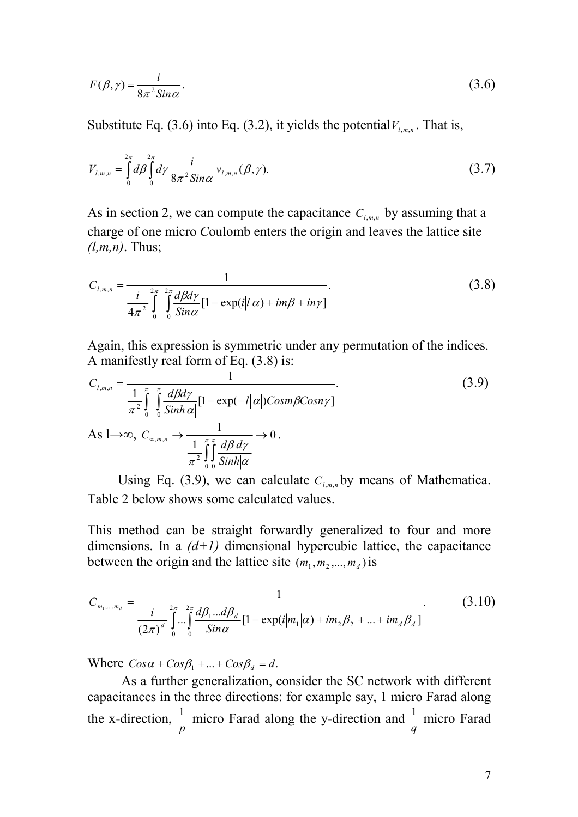$$
F(\beta, \gamma) = \frac{i}{8\pi^2 \sin \alpha}.
$$
\n(3.6)

Substitute Eq. (3.6) into Eq. (3.2), it yields the potential  $V_{l,m,n}$ . That is,

$$
V_{l,m,n} = \int_{0}^{2\pi} d\beta \int_{0}^{2\pi} d\gamma \frac{i}{8\pi^{2} \sin \alpha} v_{l,m,n}(\beta, \gamma).
$$
 (3.7)

As in section 2, we can compute the capacitance  $C_{l,m,n}$  by assuming that a charge of one micro *C*oulomb enters the origin and leaves the lattice site *(l,m,n)*. Thus;

$$
C_{l,m,n} = \frac{1}{\frac{i}{4\pi^2} \int\limits_{0}^{2\pi} \int\limits_{0}^{2\pi} \frac{d\beta d\gamma}{Sin\alpha} [1 - \exp(i|l|\alpha) + im\beta + in\gamma]}.
$$
 (3.8)

Again, this expression is symmetric under any permutation of the indices. A manifestly real form of Eq. (3.8) is:

$$
C_{l,m,n} = \frac{1}{\frac{1}{\pi^2} \int_{0}^{\pi} \int_{0}^{\pi} \frac{d\beta dy}{Sinh|\alpha|} [1 - \exp(-|l||\alpha|) \text{Cosm}\beta \text{Cosn}\gamma]}
$$
\n
$$
\text{As } l \to \infty, \ C_{\infty,m,n} \to \frac{1}{\frac{1}{\pi^2} \int_{0}^{\pi} \frac{d\beta dy}{Sinh|\alpha|}} \to 0.
$$
\n
$$
(3.9)
$$

Using Eq. (3.9), we can calculate  $C_{l,m,n}$  by means of Mathematica. Table 2 below shows some calculated values.

This method can be straight forwardly generalized to four and more dimensions. In a  $(d+1)$  dimensional hypercubic lattice, the capacitance between the origin and the lattice site  $(m_1, m_2, ..., m_d)$  is

$$
C_{m_1,\dots,m_d} = \frac{1}{\frac{i}{(2\pi)^d} \int_0^{2\pi} \dots \int_0^{2\pi} \frac{d\beta_1 \dots d\beta_d}{\sin \alpha} [1 - \exp(i|m_1|\alpha) + im_2\beta_2 + \dots + im_d\beta_d]}.
$$
(3.10)

Where  $Cos\alpha + Cos\beta_1 + ... + Cos\beta_d = d$ .

 As a further generalization, consider the SC network with different capacitances in the three directions: for example say, 1 micro Farad along the x-direction, *p*  $\frac{1}{x}$  micro Farad along the y-direction and *q*  $\frac{1}{n}$  micro Farad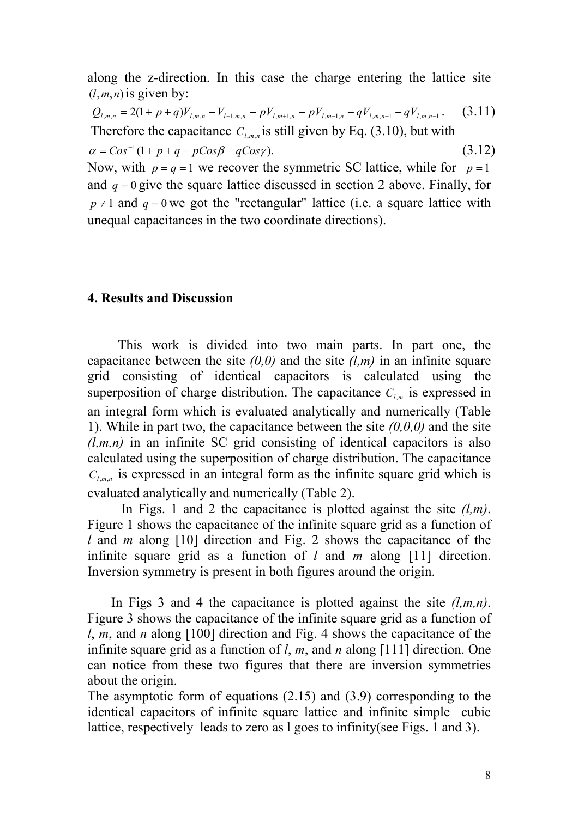along the z-direction. In this case the charge entering the lattice site  $(l, m, n)$  is given by:

 $Q_{l,m,n} = 2(1+p+q)V_{l,m,n} - V_{l+1,m,n} - pV_{l,m+1,n} - pV_{l,m-1,n} - qV_{l,m,n+1} - qV_{l,m,n-1}.$  (3.11) Therefore the capacitance  $C_{l,m,n}$  is still given by Eq. (3.10), but with

 $\alpha = Cos^{-1}(1 + p + q - pCos\beta - qCos\gamma).$ (3.12)

Now, with  $p = q = 1$  we recover the symmetric SC lattice, while for  $p = 1$ and  $q = 0$  give the square lattice discussed in section 2 above. Finally, for  $p \neq 1$  and  $q = 0$  we got the "rectangular" lattice (i.e. a square lattice with unequal capacitances in the two coordinate directions).

#### **4. Results and Discussion**

 This work is divided into two main parts. In part one, the capacitance between the site  $(0,0)$  and the site  $(l,m)$  in an infinite square grid consisting of identical capacitors is calculated using the superposition of charge distribution. The capacitance  $C_{l,m}$  is expressed in an integral form which is evaluated analytically and numerically (Table 1). While in part two, the capacitance between the site *(0,0,0)* and the site  $(l,m,n)$  in an infinite SC grid consisting of identical capacitors is also calculated using the superposition of charge distribution. The capacitance  $C_{l,m,n}$  is expressed in an integral form as the infinite square grid which is evaluated analytically and numerically (Table 2).

 In Figs. 1 and 2 the capacitance is plotted against the site *(l,m)*. Figure 1 shows the capacitance of the infinite square grid as a function of *l* and *m* along [10] direction and Fig. 2 shows the capacitance of the infinite square grid as a function of *l* and *m* along [11] direction. Inversion symmetry is present in both figures around the origin.

 In Figs 3 and 4 the capacitance is plotted against the site *(l,m,n)*. Figure 3 shows the capacitance of the infinite square grid as a function of *l*, *m*, and *n* along [100] direction and Fig. 4 shows the capacitance of the infinite square grid as a function of *l*, *m*, and *n* along [111] direction. One can notice from these two figures that there are inversion symmetries about the origin.

The asymptotic form of equations (2.15) and (3.9) corresponding to the identical capacitors of infinite square lattice and infinite simple cubic lattice, respectively leads to zero as l goes to infinity(see Figs. 1 and 3).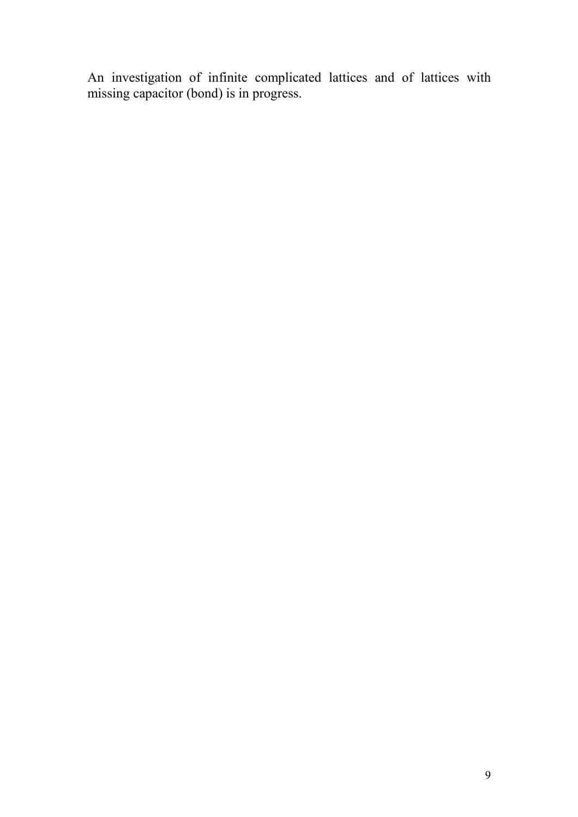An investigation of infinite complicated lattices and of lattices with missing capacitor (bond) is in progress.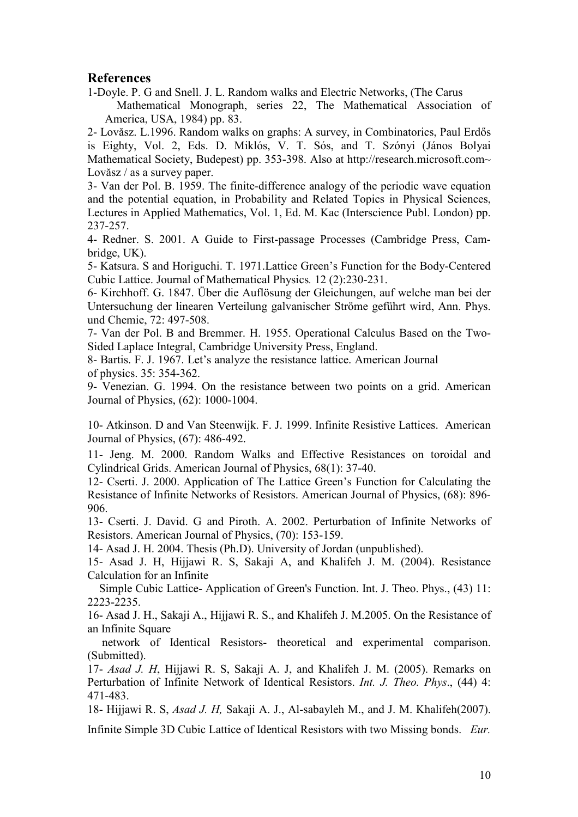#### **References**

1-Doyle. P. G and Snell. J. L. Random walks and Electric Networks, (The Carus Mathematical Monograph, series 22, The Mathematical Association of America, USA, 1984) pp. 83.

2- Lovăsz. L.1996. Random walks on graphs: A survey, in Combinatorics, Paul Erdős is Eighty, Vol. 2, Eds. D. Miklós, V. T. Sós, and T. Szónyi (János Bolyai Mathematical Society, Budepest) pp. 353-398. Also at http://research.microsoft.com~ Lovăsz / as a survey paper.

3- Van der Pol. B. 1959. The finite-difference analogy of the periodic wave equation and the potential equation, in Probability and Related Topics in Physical Sciences, Lectures in Applied Mathematics, Vol. 1, Ed. M. Kac (Interscience Publ. London) pp. 237-257.

4- Redner. S. 2001. A Guide to First-passage Processes (Cambridge Press, Cambridge, UK).

5- Katsura. S and Horiguchi. T. 1971.Lattice Green's Function for the Body-Centered Cubic Lattice. Journal of Mathematical Physics*.* 12 (2):230-231.

6- Kirchhoff. G. 1847. Über die Auflösung der Gleichungen, auf welche man bei der Untersuchung der linearen Verteilung galvanischer Ströme geführt wird, Ann. Phys. und Chemie, 72: 497-508.

7- Van der Pol. B and Bremmer. H. 1955. Operational Calculus Based on the Two-Sided Laplace Integral, Cambridge University Press, England.

8- Bartis. F. J. 1967. Let's analyze the resistance lattice. American Journal of physics. 35: 354-362.

9- Venezian. G. 1994. On the resistance between two points on a grid. American Journal of Physics, (62): 1000-1004.

10- Atkinson. D and Van Steenwijk. F. J. 1999. Infinite Resistive Lattices. American Journal of Physics, (67): 486-492.

11- Jeng. M. 2000. Random Walks and Effective Resistances on toroidal and Cylindrical Grids. American Journal of Physics, 68(1): 37-40.

12- Cserti. J. 2000. Application of The Lattice Green's Function for Calculating the Resistance of Infinite Networks of Resistors. American Journal of Physics, (68): 896- 906.

13- Cserti. J. David. G and Piroth. A. 2002. Perturbation of Infinite Networks of Resistors. American Journal of Physics, (70): 153-159.

14- Asad J. H. 2004. Thesis (Ph.D). University of Jordan (unpublished).

15- Asad J. H, Hijjawi R. S, Sakaji A, and Khalifeh J. M. (2004). Resistance Calculation for an Infinite

 Simple Cubic Lattice- Application of Green's Function. Int. J. Theo. Phys., (43) 11: 2223-2235.

16- Asad J. H., Sakaji A., Hijjawi R. S., and Khalifeh J. M.2005. On the Resistance of an Infinite Square

 network of Identical Resistors- theoretical and experimental comparison. (Submitted).

17- *Asad J. H*, Hijjawi R. S, Sakaji A. J, and Khalifeh J. M. (2005). Remarks on Perturbation of Infinite Network of Identical Resistors. *Int. J. Theo. Phys*., (44) 4: 471-483.

18- Hijjawi R. S, *Asad J. H,* Sakaji A. J., Al-sabayleh M., and J. M. Khalifeh(2007).

Infinite Simple 3D Cubic Lattice of Identical Resistors with two Missing bonds. *Eur.*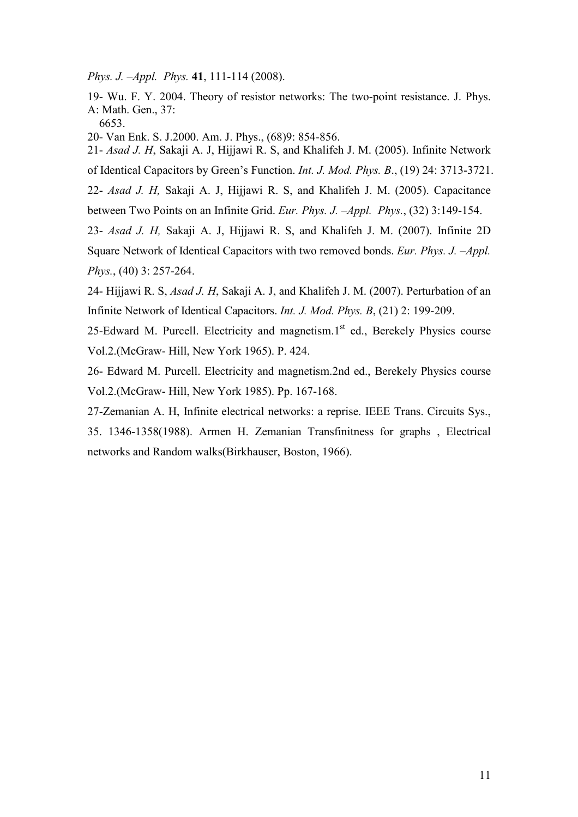*Phys. J. –Appl. Phys.* **41**, 111-114 (2008).

19- Wu. F. Y. 2004. Theory of resistor networks: The two-point resistance. J. Phys. A: Math. Gen., 37:

6653.

20- Van Enk. S. J.2000. Am. J. Phys., (68)9: 854-856.

21- *Asad J. H*, Sakaji A. J, Hijjawi R. S, and Khalifeh J. M. (2005). Infinite Network of Identical Capacitors by Green's Function. *Int. J. Mod. Phys. B*., (19) 24: 3713-3721.

22- *Asad J. H,* Sakaji A. J, Hijjawi R. S, and Khalifeh J. M. (2005). Capacitance between Two Points on an Infinite Grid. *Eur. Phys. J. –Appl. Phys.*, (32) 3:149-154.

23- *Asad J. H,* Sakaji A. J, Hijjawi R. S, and Khalifeh J. M. (2007). Infinite 2D Square Network of Identical Capacitors with two removed bonds. *Eur. Phys. J. –Appl. Phys.*, (40) 3: 257-264.

24- Hijjawi R. S, *Asad J. H*, Sakaji A. J, and Khalifeh J. M. (2007). Perturbation of an Infinite Network of Identical Capacitors. *Int. J. Mod. Phys. B*, (21) 2: 199-209.

25-Edward M. Purcell. Electricity and magnetism. $1<sup>st</sup>$  ed., Berekely Physics course Vol.2.(McGraw- Hill, New York 1965). P. 424.

26- Edward M. Purcell. Electricity and magnetism.2nd ed., Berekely Physics course Vol.2.(McGraw- Hill, New York 1985). Pp. 167-168.

27-Zemanian A. H, Infinite electrical networks: a reprise. IEEE Trans. Circuits Sys., 35. 1346-1358(1988). Armen H. Zemanian Transfinitness for graphs , Electrical networks and Random walks(Birkhauser, Boston, 1966).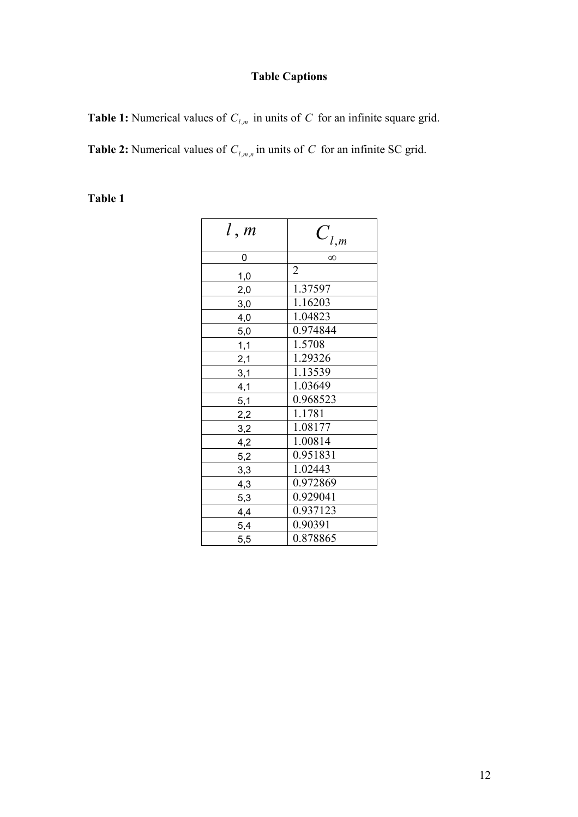# **Table Captions**

**Table 1:** Numerical values of *C<sup>l</sup>*,*<sup>m</sup>* in units of *C* for an infinite square grid.

**Table 2:** Numerical values of *C<sup>l</sup>*,*m*,*<sup>n</sup>* in units of *C* for an infinite SC grid.

## **Table 1**

| l, m | $C_{l,m}$      |  |  |
|------|----------------|--|--|
| 0    | $\infty$       |  |  |
| 1,0  | $\overline{2}$ |  |  |
| 2,0  | 1.37597        |  |  |
| 3,0  | 1.16203        |  |  |
| 4,0  | 1.04823        |  |  |
| 5,0  | 0.974844       |  |  |
| 1,1  | 1.5708         |  |  |
| 2,1  | 1.29326        |  |  |
| 3,1  | 1.13539        |  |  |
| 4,1  | 1.03649        |  |  |
| 5,1  | 0.968523       |  |  |
| 2,2  | 1.1781         |  |  |
| 3,2  | 1.08177        |  |  |
| 4,2  | 1.00814        |  |  |
| 5,2  | 0.951831       |  |  |
| 3,3  | 1.02443        |  |  |
| 4,3  | 0.972869       |  |  |
| 5,3  | 0.929041       |  |  |
| 4,4  | 0.937123       |  |  |
| 5,4  | 0.90391        |  |  |
| 5,5  | 0.878865       |  |  |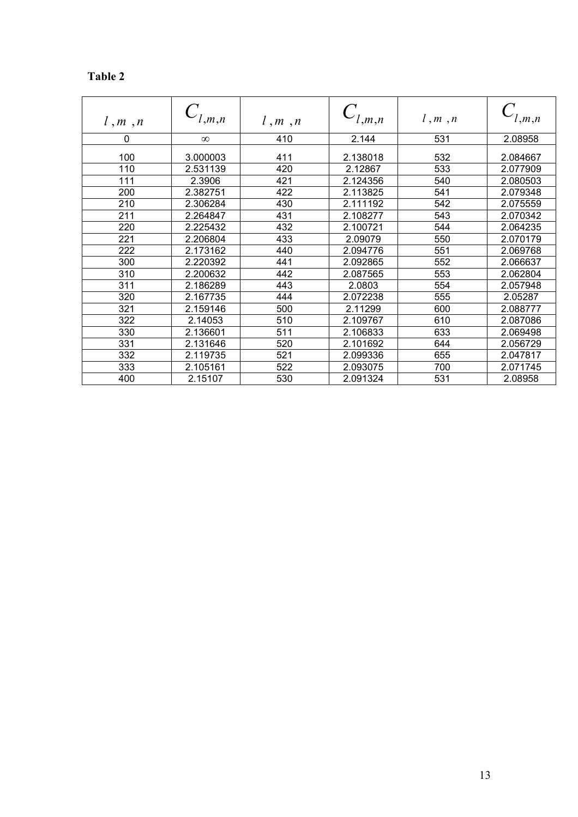### **Table 2**

|         | l,m,n    |         | l,m,n    | l, m, n | l,m,n    |
|---------|----------|---------|----------|---------|----------|
| l, m, n |          | l, m, n |          |         |          |
| 0       | $\infty$ | 410     | 2.144    | 531     | 2.08958  |
| 100     | 3.000003 | 411     | 2.138018 | 532     | 2.084667 |
| 110     | 2.531139 | 420     | 2.12867  | 533     | 2.077909 |
| 111     | 2.3906   | 421     | 2.124356 | 540     | 2.080503 |
| 200     | 2.382751 | 422     | 2.113825 | 541     | 2.079348 |
| 210     | 2.306284 | 430     | 2.111192 | 542     | 2.075559 |
| 211     | 2.264847 | 431     | 2.108277 | 543     | 2.070342 |
| 220     | 2.225432 | 432     | 2.100721 | 544     | 2.064235 |
| 221     | 2.206804 | 433     | 2.09079  | 550     | 2.070179 |
| 222     | 2.173162 | 440     | 2.094776 | 551     | 2.069768 |
| 300     | 2.220392 | 441     | 2.092865 | 552     | 2.066637 |
| 310     | 2.200632 | 442     | 2.087565 | 553     | 2.062804 |
| 311     | 2.186289 | 443     | 2.0803   | 554     | 2.057948 |
| 320     | 2.167735 | 444     | 2.072238 | 555     | 2.05287  |
| 321     | 2.159146 | 500     | 2.11299  | 600     | 2.088777 |
| 322     | 2.14053  | 510     | 2.109767 | 610     | 2.087086 |
| 330     | 2.136601 | 511     | 2.106833 | 633     | 2.069498 |
| 331     | 2.131646 | 520     | 2.101692 | 644     | 2.056729 |
| 332     | 2.119735 | 521     | 2.099336 | 655     | 2.047817 |
| 333     | 2.105161 | 522     | 2.093075 | 700     | 2.071745 |
| 400     | 2.15107  | 530     | 2.091324 | 531     | 2.08958  |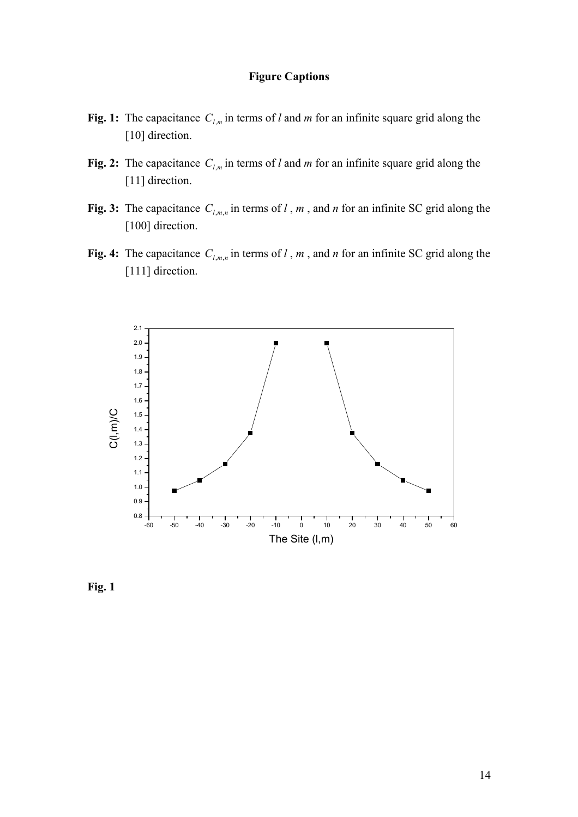#### **Figure Captions**

- **Fig. 1:** The capacitance  $C_{l,m}$  in terms of *l* and *m* for an infinite square grid along the [10] direction.
- **Fig. 2:** The capacitance  $C_{l,m}$  in terms of *l* and *m* for an infinite square grid along the [11] direction.
- **Fig. 3:** The capacitance  $C_{l,m,n}$  in terms of *l*, *m*, and *n* for an infinite SC grid along the [100] direction.
- **Fig. 4:** The capacitance  $C_{l,m,n}$  in terms of *l*, *m*, and *n* for an infinite SC grid along the [111] direction.



**Fig. 1**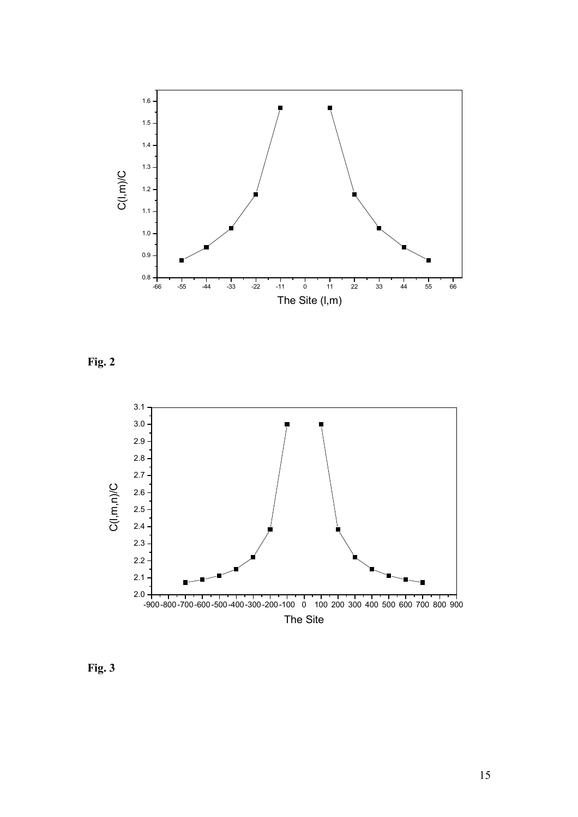

**Fig. 2** 



**Fig. 3**